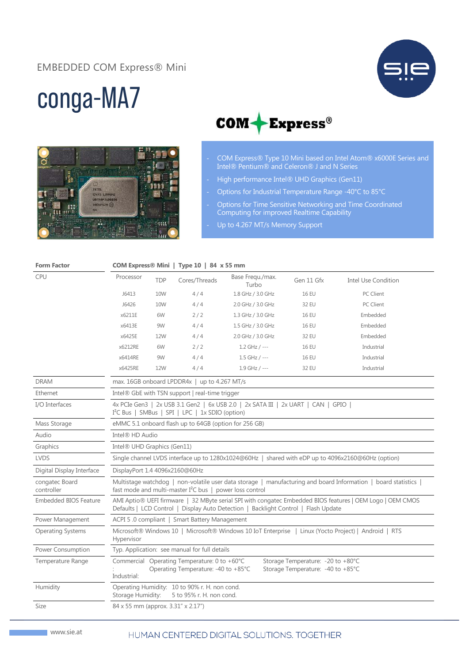### EMBEDDED COM Express® Mini



# conga-MA7





- COM Express® Type 10 Mini based on Intel Atom® x6000E Series and Intel® Pentium® and Celeron® J and N Series
- High performance Intel® UHD Graphics (Gen11)
- Options for Industrial Temperature Range -40°C to 85°C
- Options for Time Sensitive Networking and Time Coordinated Computing for improved Realtime Capability
- Up to 4.267 MT/s Memory Support

| <b>Form Factor</b>           | COM Express® Mini   Type 10   84 x 55 mm                                                                                                                                                        |            |               |                           |              |                     |  |
|------------------------------|-------------------------------------------------------------------------------------------------------------------------------------------------------------------------------------------------|------------|---------------|---------------------------|--------------|---------------------|--|
| <b>CPU</b>                   | Processor                                                                                                                                                                                       | <b>TDP</b> | Cores/Threads | Base Frequ./max.<br>Turbo | Gen 11 Gfx   | Intel Use Condition |  |
|                              | J6413                                                                                                                                                                                           | 10W        | 4/4           | 1.8 GHz / 3.0 GHz         | <b>16 EU</b> | PC Client           |  |
|                              | J6426                                                                                                                                                                                           | 10W        | 4/4           | 2.0 GHz / 3.0 GHz         | 32 EU        | PC Client           |  |
|                              | x6211E                                                                                                                                                                                          | 6W         | 2/2           | 1.3 GHz / 3.0 GHz         | <b>16 EU</b> | Embedded            |  |
|                              | x6413E                                                                                                                                                                                          | 9W         | 4/4           | 1.5 GHz / 3.0 GHz         | <b>16 EU</b> | Embedded            |  |
|                              | x6425E                                                                                                                                                                                          | 12W        | 4/4           | 2.0 GHz / 3.0 GHz         | 32 EU        | Embedded            |  |
|                              | x6212RE                                                                                                                                                                                         | 6W         | 2/2           | $1.2$ GHz / ---           | <b>16 EU</b> | Industrial          |  |
|                              | x6414RE                                                                                                                                                                                         | 9W         | 4/4           | $1.5$ GHz / ---           | <b>16 EU</b> | Industrial          |  |
|                              | x6425RE                                                                                                                                                                                         | 12W        | 4/4           | $1.9$ GHz / ---           | 32 EU        | Industrial          |  |
| <b>DRAM</b>                  | max. 16GB onboard LPDDR4x   up to 4.267 MT/s                                                                                                                                                    |            |               |                           |              |                     |  |
| Ethernet                     | Intel® GbE with TSN support   real-time trigger                                                                                                                                                 |            |               |                           |              |                     |  |
| I/O Interfaces               | 4x PCIe Gen3   2x USB 3.1 Gen2   6x USB 2.0   2x SATA III   2x UART   CAN   GPIO<br>I <sup>2</sup> C Bus   SMBus   SPI   LPC   1x SDIO (option)                                                 |            |               |                           |              |                     |  |
| Mass Storage                 | eMMC 5.1 onboard flash up to 64GB (option for 256 GB)                                                                                                                                           |            |               |                           |              |                     |  |
| Audio                        | Intel® HD Audio                                                                                                                                                                                 |            |               |                           |              |                     |  |
| Graphics                     | Intel <sup>®</sup> UHD Graphics (Gen11)                                                                                                                                                         |            |               |                           |              |                     |  |
| <b>LVDS</b>                  | Single channel LVDS interface up to 1280x1024@60Hz   shared with eDP up to 4096x2160@60Hz (option)                                                                                              |            |               |                           |              |                     |  |
| Digital Display Interface    | DisplayPort 1.4 4096x2160@60Hz                                                                                                                                                                  |            |               |                           |              |                     |  |
| congatec Board<br>controller | Multistage watchdog   non-volatile user data storage   manufacturing and board Information   board statistics  <br>fast mode and multi-master $I^2C$ bus   power loss control                   |            |               |                           |              |                     |  |
| <b>Embedded BIOS Feature</b> | AMI Aptio® UEFI firmware   32 MByte serial SPI with congatec Embedded BIOS features   OEM Logo   OEM CMOS<br>Defaults   LCD Control   Display Auto Detection   Backlight Control   Flash Update |            |               |                           |              |                     |  |
| Power Management             | ACPI 5.0 compliant   Smart Battery Management                                                                                                                                                   |            |               |                           |              |                     |  |
| <b>Operating Systems</b>     | Microsoft® Windows 10   Microsoft® Windows 10 IoT Enterprise   Linux (Yocto Project)   Android   RTS<br>Hypervisor                                                                              |            |               |                           |              |                     |  |
| Power Consumption            | Typ. Application: see manual for full details                                                                                                                                                   |            |               |                           |              |                     |  |
| Temperature Range            | Commercial Operating Temperature: 0 to +60°C<br>Storage Temperature: -20 to +80°C<br>Operating Temperature: -40 to +85°C<br>Storage Temperature: -40 to +85°C<br>Industrial:                    |            |               |                           |              |                     |  |
| Humidity                     | Operating Humidity: 10 to 90% r. H. non cond.<br>Storage Humidity:<br>5 to 95% r. H. non cond.                                                                                                  |            |               |                           |              |                     |  |
| Size                         | 84 x 55 mm (approx. 3.31" x 2.17")                                                                                                                                                              |            |               |                           |              |                     |  |

#### HUMAN CENTERED DIGITAL SOLUTIONS. TOGETHER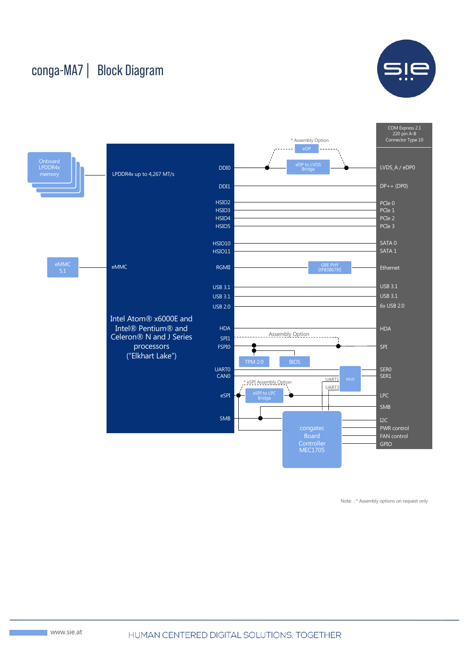## conga-MA7 | Block Diagram





Note: : \* Assembly options on request only